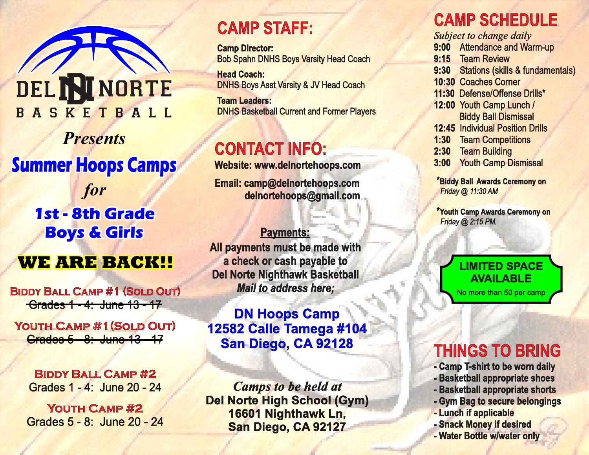

*Presents* **Summer Hoops Camps** *for*

**1st - 8th Grade Boys & Girls**

## **WE ARE BACK!!**

**Biddy Ball Camp #1 (Sold Out)** Grades 1 - 4: June 13 - 17

**Youth Camp #1(Sold Out)**  Grades 5 - 8: June 13 - 17

**Biddy Ball Camp #2** Grades 1 - 4: June 20 - 24

**Youth Camp #2**  Grades 5 - 8: June 20 - 24

## **CAMP STAFF:**

**Camp Director:** Bob Spahn DNHS Boys Varsity Head Coach

**Head Coach:** DNHS Boys Asst Varsity & JV Head Coach

**Team Leaders:** DNHS Basketball Current and Former Players

# **CONTACT INFO:**

**Website: www.delnortehoops.com**

**Email: camp@delnortehoops.com delnortehoops@gmail.com**

**Payments: All payments must be made with a check or cash payable to Del Norte Nighthawk Basketball** *Mail to address here;*

## **DN Hoops Camp 12582 Calle Tamega #104 San Diego, CA 92128**

*Camps to be held at* **Del Norte High School (Gym) 16601 Nighthawk Ln, San Diego, CA 92127**

# **CAMP SCHEDULE**

*Subject to change daily* **9:00** Attendance and Warm-up **9:15** Team Review **10:30** Coaches Corner **11:30** Defense/Offense Drills\* **12:00** Youth Camp Lunch / Biddy Ball Dismissal **12:45** Individual Position Drills **1:30** Team Competitions **2:30** Team Building **3:00** Youth Camp Dismissal **9:30** Stations (skills & fundamentals)

\***Biddy Ball Awards Ceremony on**  *Friday @ 11:30 AM*

**\*Youth Camp Awards Ceremony on**  *Friday @ 2:15 PM.*

#### **LIMITED SPACE AVAILABLE**

No more than 50 per camp

# **THINGS TO BRING**

- **Camp T-shirt to be worn daily**
- **Basketball appropriate shoes**
- **Basketball appropriate shorts**
- **Gym Bag to secure belongings**
- **Lunch if applicable**
- **Snack Money if desired**
- **Water Bottle w/water only**